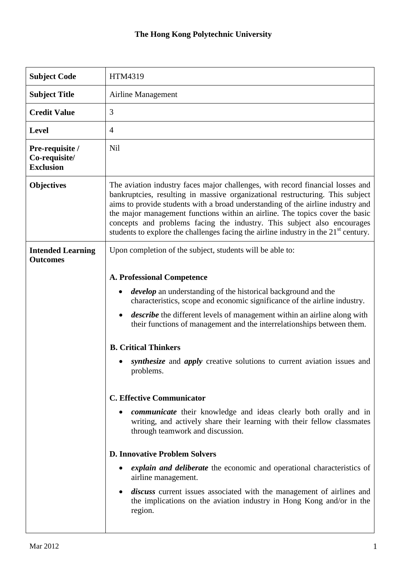## **The Hong Kong Polytechnic University**

| <b>Subject Code</b>                                  | HTM4319                                                                                                                                                                                                                                                                                                                                                                                                                                                                                                          |
|------------------------------------------------------|------------------------------------------------------------------------------------------------------------------------------------------------------------------------------------------------------------------------------------------------------------------------------------------------------------------------------------------------------------------------------------------------------------------------------------------------------------------------------------------------------------------|
| <b>Subject Title</b>                                 | Airline Management                                                                                                                                                                                                                                                                                                                                                                                                                                                                                               |
| <b>Credit Value</b>                                  | 3                                                                                                                                                                                                                                                                                                                                                                                                                                                                                                                |
| <b>Level</b>                                         | 4                                                                                                                                                                                                                                                                                                                                                                                                                                                                                                                |
| Pre-requisite /<br>Co-requisite/<br><b>Exclusion</b> | Nil                                                                                                                                                                                                                                                                                                                                                                                                                                                                                                              |
| <b>Objectives</b>                                    | The aviation industry faces major challenges, with record financial losses and<br>bankruptcies, resulting in massive organizational restructuring. This subject<br>aims to provide students with a broad understanding of the airline industry and<br>the major management functions within an airline. The topics cover the basic<br>concepts and problems facing the industry. This subject also encourages<br>students to explore the challenges facing the airline industry in the 21 <sup>st</sup> century. |
| <b>Intended Learning</b><br><b>Outcomes</b>          | Upon completion of the subject, students will be able to:                                                                                                                                                                                                                                                                                                                                                                                                                                                        |
|                                                      | <b>A. Professional Competence</b>                                                                                                                                                                                                                                                                                                                                                                                                                                                                                |
|                                                      | <i>develop</i> an understanding of the historical background and the<br>٠<br>characteristics, scope and economic significance of the airline industry.                                                                                                                                                                                                                                                                                                                                                           |
|                                                      | <i>describe</i> the different levels of management within an airline along with<br>$\bullet$<br>their functions of management and the interrelationships between them.                                                                                                                                                                                                                                                                                                                                           |
|                                                      | <b>B. Critical Thinkers</b>                                                                                                                                                                                                                                                                                                                                                                                                                                                                                      |
|                                                      | <i>synthesize</i> and <i>apply</i> creative solutions to current aviation issues and<br>problems.                                                                                                                                                                                                                                                                                                                                                                                                                |
|                                                      | <b>C. Effective Communicator</b>                                                                                                                                                                                                                                                                                                                                                                                                                                                                                 |
|                                                      | <i>communicate</i> their knowledge and ideas clearly both orally and in<br>writing, and actively share their learning with their fellow classmates<br>through teamwork and discussion.                                                                                                                                                                                                                                                                                                                           |
|                                                      | <b>D. Innovative Problem Solvers</b>                                                                                                                                                                                                                                                                                                                                                                                                                                                                             |
|                                                      | <i>explain and deliberate</i> the economic and operational characteristics of<br>airline management.                                                                                                                                                                                                                                                                                                                                                                                                             |
|                                                      | <i>discuss</i> current issues associated with the management of airlines and<br>the implications on the aviation industry in Hong Kong and/or in the<br>region.                                                                                                                                                                                                                                                                                                                                                  |
|                                                      |                                                                                                                                                                                                                                                                                                                                                                                                                                                                                                                  |